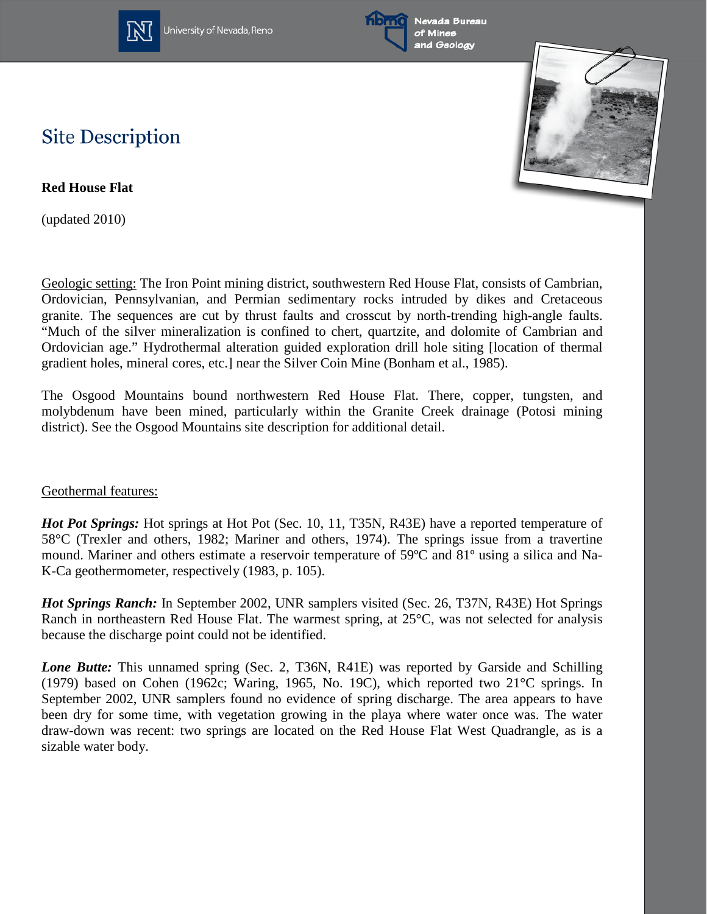

University of Nevada, Reno



Nevada Bureau of Mines and Geology



## **Site Description**

**Red House Flat**

(updated 2010)

Geologic setting: The Iron Point mining district, southwestern Red House Flat, consists of Cambrian, Ordovician, Pennsylvanian, and Permian sedimentary rocks intruded by dikes and Cretaceous granite. The sequences are cut by thrust faults and crosscut by north-trending high-angle faults. "Much of the silver mineralization is confined to chert, quartzite, and dolomite of Cambrian and Ordovician age." Hydrothermal alteration guided exploration drill hole siting [location of thermal gradient holes, mineral cores, etc.] near the Silver Coin Mine (Bonham et al., 1985).

The Osgood Mountains bound northwestern Red House Flat. There, copper, tungsten, and molybdenum have been mined, particularly within the Granite Creek drainage (Potosi mining district). See the Osgood Mountains site description for additional detail.

## Geothermal features:

*Hot Pot Springs:* Hot springs at Hot Pot (Sec. 10, 11, T35N, R43E) have a reported temperature of 58°C (Trexler and others, 1982; Mariner and others, 1974). The springs issue from a travertine mound. Mariner and others estimate a reservoir temperature of 59ºC and 81º using a silica and Na-K-Ca geothermometer, respectively (1983, p. 105).

*Hot Springs Ranch:* In September 2002, UNR samplers visited (Sec. 26, T37N, R43E) Hot Springs Ranch in northeastern Red House Flat. The warmest spring, at 25°C, was not selected for analysis because the discharge point could not be identified.

*Lone Butte:* This unnamed spring (Sec. 2, T36N, R41E) was reported by Garside and Schilling (1979) based on Cohen (1962c; Waring, 1965, No. 19C), which reported two 21°C springs. In September 2002, UNR samplers found no evidence of spring discharge. The area appears to have been dry for some time, with vegetation growing in the playa where water once was. The water draw-down was recent: two springs are located on the Red House Flat West Quadrangle, as is a sizable water body.